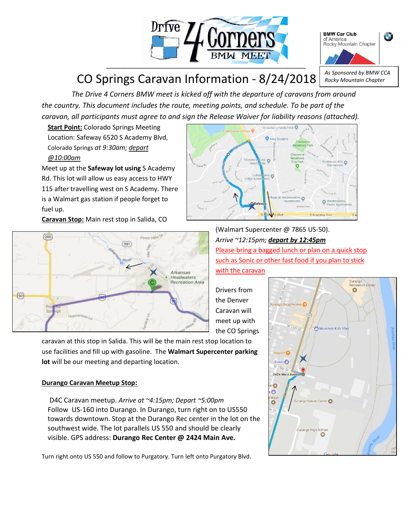



# CO Springs Caravan Information - 8/24/2018

*The Drive 4 Corners BMW meet is kicked off with the departure of caravans from around the country. This document includes the route, meeting points, and schedule. To be part of the caravan, all participants must agree to and sign the Release Waiver for liability reasons (attached).*

**Start Point:** Colorado Springs Meeting Location: Safeway 6520 S Academy Blvd, Colorado Springs *at 9:30am; depart @10:00am*

Meet up at the **Safeway lot using** S Academy Rd. This lot will allow us easy access to HWY 115 after travelling west on S Academy. There is a Walmart gas station if people forget to fuel up.

**Caravan Stop:** Main rest stop in Salida, CO



caravan at this stop in Salida. This will be the main rest stop location to use facilities and fill up with gasoline. The **Walmart Supercenter parking lot** will be our meeting and departing location.

### **Durango Caravan Meetup Stop:**

D4C Caravan meetup. *Arrive at ~4:15pm; Depart ~5:00pm* Follow US-160 into Durango. In Durango, turn right on to US550 towards downtown. Stop at the Durango Rec center in the lot on the southwest wide. The lot parallels US 550 and should be clearly visible. GPS address: **Durango Rec Center @ 2424 Main Ave.**

Turn right onto US 550 and follow to Purgatory. Turn left onto Purgatory Blvd.



(Walmart Supercenter @ 7865 US-50). *Arrive ~12:15pm; depart by 12:45pm* Please bring a bagged lunch or plan on a quick stop such as Sonic or other fast food if you plan to stick with the caravan

Drivers from the Denver Caravan will meet up with the CO Springs

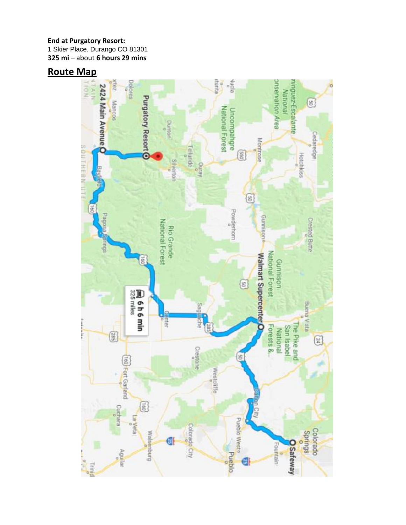## **End at Purgatory Resort:**

1 Skier Place. Durango CO 81301 **325 mi** – about **6 hours 29 mins** 

# **Route Map**